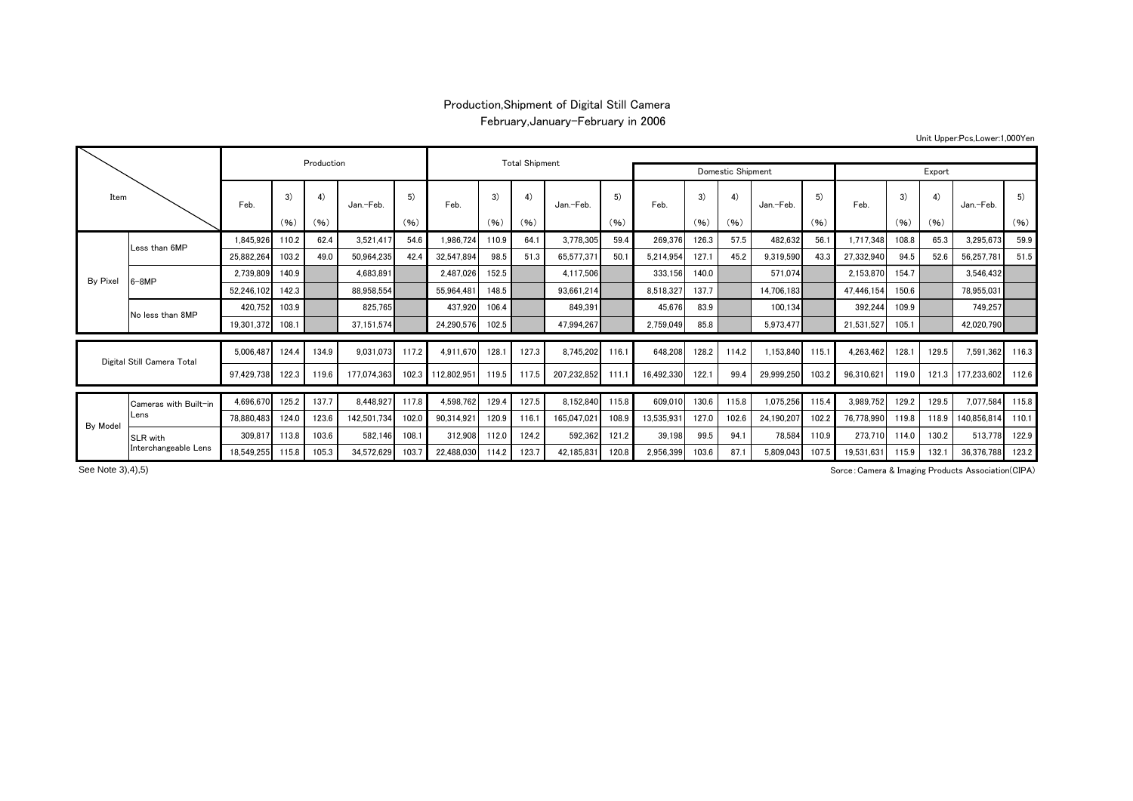## Production,Shipment of Digital Still Camera February,January-February in 2006

(%) (%) (%) (%) (%) (%) (%) (%) (%) (%) (%) (%) 1,845,926|110.2| 62.4| 3,521,417| 54.6| 1,986,724|110.9| 64.1| 3,778,305| 59.4| 269,376|126.3| 57.5| 482,632| 56.1| 1,717,348|108.8| 65.3| 3,295,673| 59.9 25,882,264 103.2 49.0 50,964,235 42.4 32,547,894 98.5 51.3 65,577,371 50.1 5,214,954 127.1 45.2 9,319,590 43.3 27,332,940 94.5 52.6 56,257,781 51.5 2,739,809 140.9 4,683,891 2,487,026 152.5 4,117,506 333,156 140.0 571,074 2,153,870 154.7 3,546,432 52,246,102 142.3 88,958,554 55,964,481 148.5 88,95661,214 8,518,327 137.7 14,706,183 47,446,154 150.6 78,955,031 420,752 103.9 825,765 437,920 106.4 849,391 45,676 83.9 100,134 392,244 109.9 749,257 19,301,372 108.1 108.1 37,151,574 24,290,576 102.5 47,994,267 2,759,049 85.8 5,973,477 21,531,527 105.1 42,020,790 5,006,487 124.4 134.9 9,031,073 117.2 4,911,670 128.1 127.3 8,745,202 116.1 648,208 128.2 114.2 1,153,840 115.1 4,263,462 128.1 129.5 7,591,362 116.3 97,429,738 122.3 119.6 177,074,363 102.3 112,802,951 119.5 117.5 207,232,852 111.1 16,492,330 122.1 99.4 29,999,250 103.2 96,310,621 119.0 121.3 177,233,602 112.6 4,696,670| 125.2 | 137.7 | 8,448,927| 117.8 | 4,598,762| 129.4 | 127.5 | 8,152,840| 115.8 | 609,010| 130.6 | 115.8 | 1,075,256 | 115.4 | 3,989,752 | 129.2 | 129.5 | 7,077,584 | 115.8 78,880,483 124.0 123.6 142,501,734 102.0 90,314,921 120.9 116.1 165,047,021 108.9 13,535,931 127.0 102.6 24,190,207 102.2 76,778,990 119.8 118.9 140,856,814 110.1 309,817 113.8 103.6 582,146 108.1 312,908 112.0 124.2 592,362 121.2 39,198 99.5 94.1 78,584 110.9 273,710 114.0 130.2 513,778 122.9 18,549,255 115.8 105.3 34,572,629 103.7 22,488,030 114.2 123.7 42,185,831 120.8 2,956,399 103.6 87.1 5,809,043 107.5 19,531,631 115.9 132.1 36,376,788 123.2 Digital Still Camera Total Cameras with Built-inLens By Model ItemBy Pixel Less than 6MP 6-8MPNo less than 8MPProduction **National Contract Contract Contract Contract Contract Contract Contract Contract Contract Contract Contract Contract Contract Contract Contract Contract Contract Contract Contract Contract Contract Contract Con** Domestic Shipment Feb. 3) Feb. 4) 5) Jan.-Feb.. I Feb. I I Jan.-Feb. I Feb. I I Jan.-Feb. I I Feb. I I Feb. I Jan.-Feb. 3) Feb. 3) Jan.-Feb. 4) | 5) | 3) | 4) | 5) | 1 | 3) | 4) | 5 SLR with Interchangeable Lens Export 5) 5) 4) 4) Feb. 3) Jan.-Feb.

See Note 3),4),5)

Sorce:Camera & Imaging Products Association(CIPA)

Unit Upper:Pcs,Lower:1,000Yen